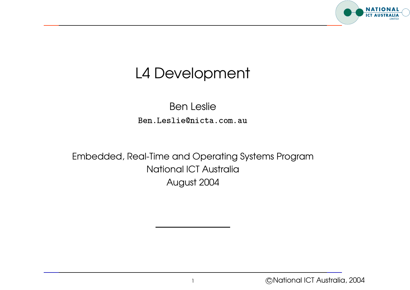

## L4 Development

Ben Leslie en Leslie<br>Ben Leslie Ben Leslie (1999)<br>Ben Leslie (1999) com . a

Embedded, Real-Time and Operating Systems Program National ICT Australia August 2004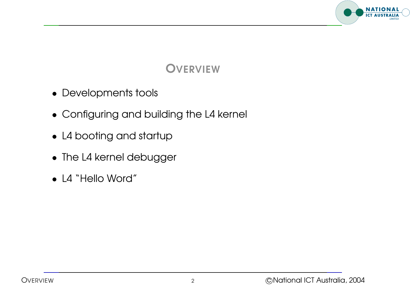

### **OVERVIEW**

- Developments tools
- Configuring and building the L4 kernel
- L4 booting and startup
- The L4 kernel debugger
- L4 "Hello Word"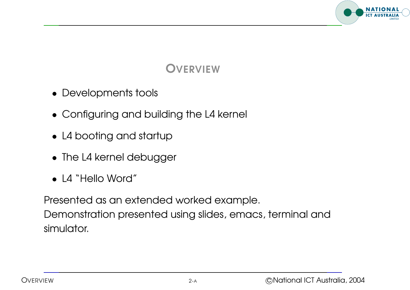

### **OVERVIEW**

- Developments tools
- Configuring and building the L4 kernel
- L4 booting and startup
- The L4 kernel debugger
- L4 "Hello Word"

Presented as an extended worked example. Demonstration presented using slides, emacs, terminal and simulator.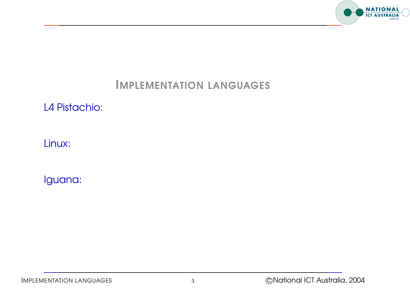

#### L4 Pistachio:

Linux: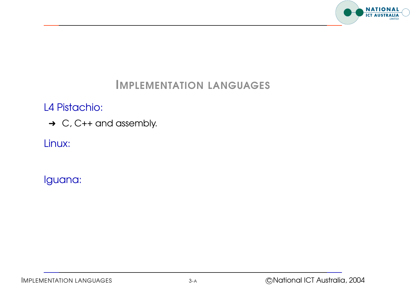

#### L4 Pistachio:

→ C, C++ and assembly.

Linux: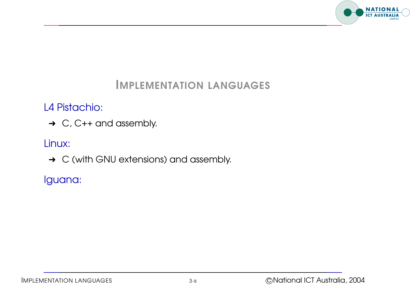

L4 Pistachio:

→ C, C++ and assembly.

Linux:

**→ C** (with GNU extensions) and assembly.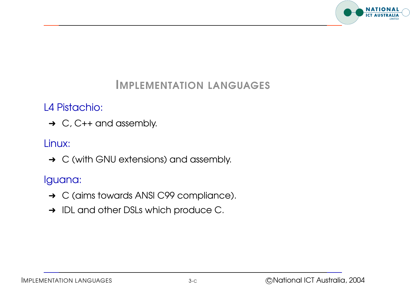

#### L4 Pistachio:

 $\rightarrow$  C, C++ and assembly.

#### Linux:

**→ C** (with GNU extensions) and assembly.

- **→ C (aims towards ANSI C99 compliance).**
- → IDL and other DSLs which produce C.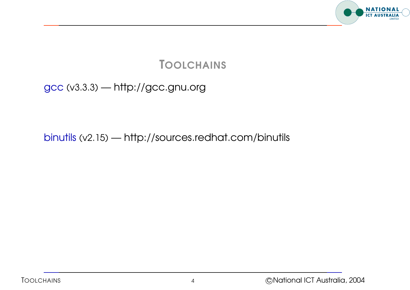

gcc (v3.3.3) — http://gcc.gnu.org

binutils (v2.15) — http://sources.redhat.com/binutils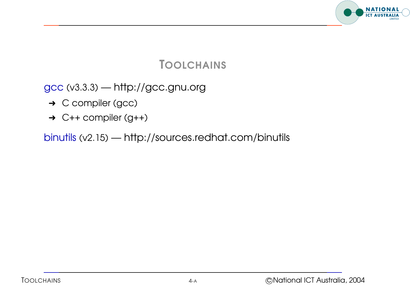

gcc (v3.3.3) — http://gcc.gnu.org

- → C compiler (gcc)
- $\rightarrow$  C++ compiler (g++)

binutils (v2.15) — http://sources.redhat.com/binutils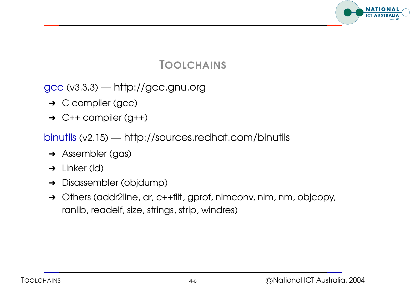

gcc (v3.3.3) — http://gcc.gnu.org

- → C compiler (gcc)
- $\rightarrow$  C++ compiler (g++)

binutils (v2.15) — http://sources.redhat.com/binutils

- **→ Assembler (gas)**
- $\rightarrow$  Linker (Id)
- **→** Disassembler (objdump)
- → Others (addr2line, ar, c++filt, gprof, nlmconv, nlm, nm, objcopy, ranlib, readelf, size, strings, strip, windres)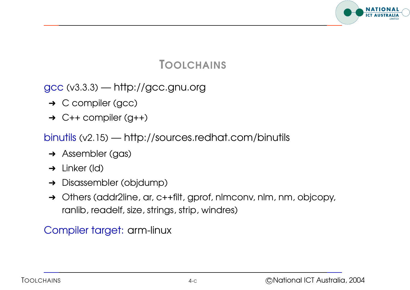

gcc (v3.3.3) — http://gcc.gnu.org

- **→ C compiler (gcc)**
- $\rightarrow$  C++ compiler (g++)

binutils (v2.15) — http://sources.redhat.com/binutils

- **→ Assembler (gas)**
- $\rightarrow$  Linker (Id)
- **→** Disassembler (objdump)
- → Others (addr2line, ar, c++filt, gprof, nlmconv, nlm, nm, objcopy, ranlib, readelf, size, strings, strip, windres)

Compiler target: arm-linux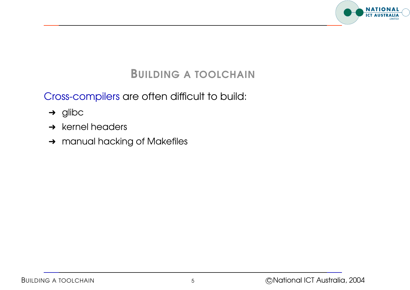

#### BUILDING A TOOLCHAIN

Cross-compilers are often difficult to build:

- $\rightarrow$  glibc
- $\rightarrow$  kernel headers
- → manual hacking of Makefiles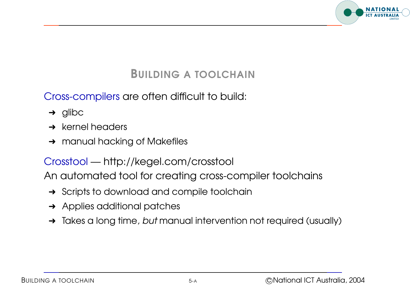

#### BUILDING A TOOLCHAIN

Cross-compilers are often difficult to build:

- $\rightarrow$  glibc
- $\rightarrow$  kernel headers
- **→ manual hacking of Makefiles**

#### Crosstool — http://kegel.com/crosstool

An automated tool for creating cross-compiler toolchains

- **→** Scripts to download and compile toolchain
- **→** Applies additional patches
- → Takes a long time, but manual intervention not required (usually)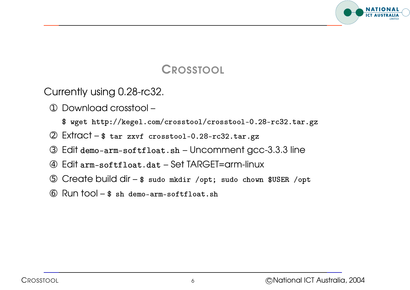

#### **CROSSTOOL**

Currently using 0.28-rc32.

- ➀ Download crosstool –
- $\$$  wget http://kegel.com/crosstool/crosstool-0.28-rc32.tar.  $\overline{a}$  $\frac{1}{2}$
- 2 Extract \$ tar zxvf crosstool-0.28-rc32.tar.
- ➂ Edit   Uncomment gcc-3.3.3 line
- ➃ Edit   Set TARGET=arm-linux
- 3 Edit demo-arm-softfloat.sh Uncomment gcc-3.3.3 line<br>4 Edit arm-softfloat.dat Set TARGET=arm-linux<br>5 Create build dir \$ sudo mkdir /opt; sudo chown \$USER /op RGE<br>opt/<br>oat.s
- $\circ$  Run tool  $\circ$  sh demo-arm-softfloat.sh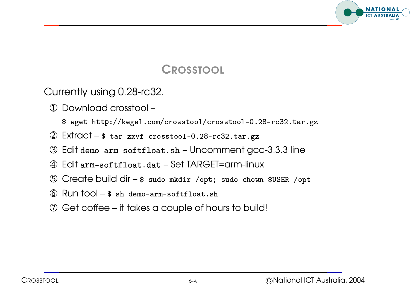

#### **CROSSTOOL**

Currently using 0.28-rc32.

- ➀ Download crosstool –
- $\$$  wget http://kegel.com/crosstool/crosstool-0.28-rc32.tar.  $\overline{a}$  $\frac{1}{2}$
- 2 Extract \$ tar zxvf crosstool-0.28-rc32.tar.
- 
- ➃ Edit   Set TARGET=arm-linux
- 3 Edit demo-arm-softfloat.sh Uncomment gcc-3.3.3 line<br>4 Edit arm-softfloat.dat Set TARGET=arm-linux<br>5 Create build dir \$ sudo mkdir /opt; sudo chown \$USER /op Create build dir - \$ sudo mkdir /opt; sudo chown \$USER /opt
- $6$  Run tool  $$ sh$  demo-arm-softfloat.sh
- ➆ Get coffee it takes <sup>a</sup> couple of hours to build!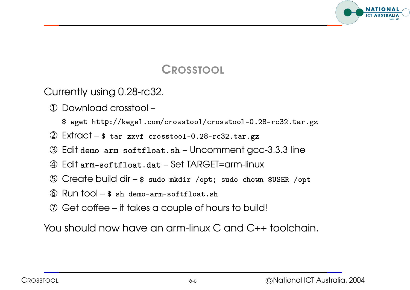

#### **CROSSTOOL**

Currently using 0.28-rc32.

- ➀ Download crosstool –
- $\$$  wget http://kegel.com/crosstool/crosstool-0.28-rc32.tar.  $\overline{a}$  $\frac{1}{2}$
- 2 Extract \$ tar zxvf crosstool-0.28-rc32.tar.
- ➂ Edit   Uncomment gcc-3.3.3 line
- ➃ Edit   Set TARGET=arm-linux
- 3 Edit demo-arm-softfloat.sh Uncomment gcc-3.3.3 line<br>4 Edit arm-softfloat.dat Set TARGET=arm-linux<br>5 Create build dir \$ sudo mkdir /opt; sudo chown \$USER /op RGE<br>opt/<br>oat.s
- $6$  Run tool  $$ sh$  demo-arm-softfloat.sh
- ➆ Get coffee it takes <sup>a</sup> couple of hours to build!

You should now have an arm-linux C and C++ toolchain.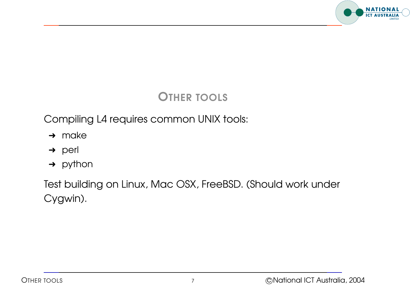

### OTHER TOOLS

Compiling L4 requires common UNIX tools:

- $\rightarrow$  make
- → perl
- $\rightarrow$  python

Test building on Linux, Mac OSX, FreeBSD. (Should work under Cygwin).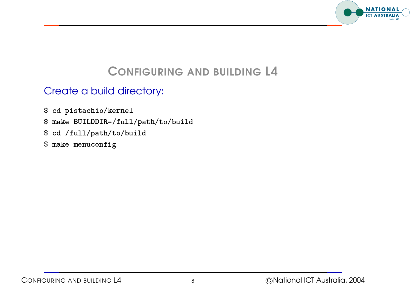

#### Create <sup>a</sup> build directory:  $\ddot{\phantom{0}}$  $\overline{a}$ !<br>!<br>! "<br>"<br>" ֧֚֚֝<br>֧֚֚֝<br>֧֚֚֝  $\overline{a}$ .<br>.<br>.  $\overline{a}$  $\ddot{\phantom{0}}$ "<br>.<br>.  $\overline{a}$   $\ddot{\phantom{0}}$  **:**<br>:<br>:  $\frac{1}{2}$  $\ddot{\phantom{0}}$  $\ddot{\phantom{a}}$  $\ddot{\phantom{a}}$  $\ddot{\phantom{a}}$  $\ddot{\phantom{0}}$  $\overline{a}$

- j י<br>;  $\ddot{\phantom{a}}$   $\ddot{\phantom{a}}$ .<br>.<br>.  $\ddot{\phantom{a}}$ (  $\begin{bmatrix} 1 & 1 \\ 1 & 1 \\ 1 & 1 \end{bmatrix}$ ֧֚֚֝<br>֧֚֝<br>֧֚֚֝<br>֖֖֖֚֚֚֚֝֝֝<u>֚</u>  $\ddot{\phantom{0}}$  $\overline{a}$ ֧֚֝<br>֧֚֝<br>֧֚֚֝  $\begin{bmatrix} 1 & 1 & 1 \\ 1 & 1 & 1 \\ 1 & 1 & 1 \\ 1 & 1 & 1 \\ 1 & 1 & 1 \\ 1 & 1 & 1 \\ 1 & 1 & 1 \\ 1 & 1 & 1 \\ 1 & 1 & 1 \\ 1 & 1 & 1 \\ 1 & 1 & 1 \\ 1 & 1 & 1 \\ 1 & 1 & 1 \\ 1 & 1 & 1 \\ 1 & 1 & 1 & 1 \\ 1 & 1 & 1 & 1 \\ 1 & 1 & 1 & 1 \\ 1 & 1 & 1 & 1 \\ 1 & 1 & 1 & 1 \\ 1 & 1 & 1 & 1 \\ 1 & 1 & 1 & 1 \\ 1 &$ |<br>|<br>|<br>| י<br>;<br>;  $\ddot{\phantom{0}}$ !<br>!  $\begin{array}{c} \n\end{array}$   $\ddot{\phantom{a}}$  $\begin{array}{c} \n\text{ } \text{ } \text{ } \text{ } \text{ } \end{array}$ .<br>.<br>.<br>.  $\begin{array}{c} \n\vdots \\
\vdots \\
\vdots\n\end{array}$ **.** .<br>.<br>. ֧֧֦֧ׅ֧֚֚֝֝֝֬֝֬֝<br>֧֚֝<br>֧֖֖֖֖֖֖֪֪֪֪֪֪ׅ֖֚֚֚֚֚֚֚֚֚֚֚֚֚֚֝֝֝֝֝֝֝֝֝֟֝֬֝֝֝֝֝֟֬֝֬֝֬֝֬֝֬֝֬֝֬֝֬֝֬֝֬֝֬֝֬֝֬  $\overline{a}$  $\begin{array}{c} \begin{array}{c} \begin{array}{c} \end{array}\\ \begin{array}{c} \end{array} \end{array} \end{array}$  $\begin{array}{c} \n\end{array}$  $\ddot{\phantom{a}}$  $\ddot{\phantom{a}}$ \$ cd pistachio/kernel
- "  $\ddot{\phantom{a}}$  !<br>! .<br>.<br>.<br>.  $\begin{bmatrix} 1 & 1 \\ 1 & 1 \end{bmatrix}$  $\overline{a}$  $\ddot{\phantom{a}}$ "<br>.<br>. !<br>. .<br>.<br>. .<br>.<br>.  $\frac{1}{2}$  $\overline{a}$ **:**  "<br>"<br>" ֧֚֚֝<br>֧֚֝<br>֧֚֚֚֚֚֚֚֚֚֚֚֚֚֚֚֚֚֚֚֚֚֚֚֚֚֚֚֚֝֝֝֝֝֝֝֝ ֚֚֚֡<br>֚֚֚֚<br>֧֚֚֚֝  $\begin{array}{c} \n\vdots \\
\vdots \\
\vdots\n\end{array}$   $\begin{array}{c} \begin{array}{c} \text{ } \text{ } \text{ } \end{array} \end{array}$ .<br>.<br>. .<br>.<br>. \$ make BUILDDIR=/full/path/to/build j j j
- cd /full/path/to/build  $\boldsymbol{\$}$ j j j
- \$ make menuconfig -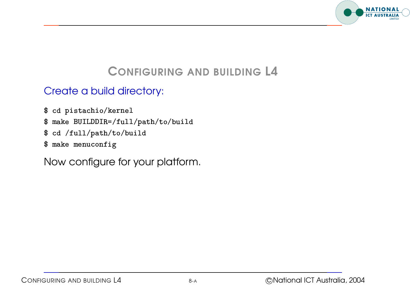

#### Create <sup>a</sup> build directory:  $\ddot{\phantom{0}}$  $\overline{a}$ !<br>!<br>! "<br>"<br>" ֧֚֚֝<br>֧֚֚֝<br>֧֚֚֝ .<br>.<br>.  $\overline{a}$  $\ddot{\phantom{a}}$ "<br>.<br>.  $\overline{a}$   $\ddot{\phantom{0}}$  **.**<br>.<br>.<br>.  $\begin{array}{c}\n\hline\n\end{array}$  $\ddot{\phantom{0}}$  $\ddot{\phantom{a}}$  $\ddot{\phantom{a}}$  $\ddot{\phantom{a}}$  $\ddot{\phantom{0}}$  $\overline{a}$

- j י<br>;  $\ddot{\phantom{a}}$   $\ddot{\phantom{a}}$ .<br>.<br>.  $\ddot{\phantom{a}}$ (  $\begin{bmatrix} 1 & 1 \\ 1 & 1 \\ 1 & 1 \end{bmatrix}$ ֧֚֚֝<br>֧֚֝<br>֧֚֚֝<br>֚֚֝  $\ddot{\phantom{0}}$  $\overline{a}$ ֧֚֝<br>֧֚֝<br>֧֚֚֝  $\begin{bmatrix} 1 & 1 & 1 \\ 1 & 1 & 1 \\ 1 & 1 & 1 \\ 1 & 1 & 1 \\ 1 & 1 & 1 \\ 1 & 1 & 1 \\ 1 & 1 & 1 \\ 1 & 1 & 1 \\ 1 & 1 & 1 \\ 1 & 1 & 1 \\ 1 & 1 & 1 \\ 1 & 1 & 1 \\ 1 & 1 & 1 \\ 1 & 1 & 1 \\ 1 & 1 & 1 \\ 1 & 1 & 1 & 1 \\ 1 & 1 & 1 & 1 \\ 1 & 1 & 1 & 1 \\ 1 & 1 & 1 & 1 \\ 1 & 1 & 1 & 1 \\ 1 & 1 & 1 & 1 \\ 1 & 1 &$ |<br>|<br>|<br>| \$ cd pistachio/kernel
- "  $\ddot{\phantom{a}}$  !<br>! .<br>.<br>.<br>.  $\begin{bmatrix} 1 & 1 \\ 1 & 1 \end{bmatrix}$  $\overline{a}$  $\ddot{\phantom{a}}$  $\ddot{\phantom{a}}$ !<br>!  $\ddot{\phantom{a}}$  $\begin{array}{c} \n\vdots \\
\vdots \\
\vdots \\
\vdots\n\end{array}$ **.** .<br>.<br>.  $\overline{a}$  $\begin{array}{c} \begin{array}{c} \begin{array}{c} \end{array}\\ \begin{array}{c} \end{array} \end{array} \end{array}$  $\ddot{\phantom{a}}$  $\ddot{\phantom{a}}$ "<br>.<br>. !<br>.  $\begin{array}{c} \n\end{array}$   $\begin{array}{c} \n\end{array}$ .<br>.<br>.<br>. .<br>.<br>. .<br>.<br>.  $\frac{1}{2}$  $\overline{a}$ **:**  "<br>"<br>" ֧֚֚֝<br>֧֚֝<br>֧֚֚֚֚֚֚֚֚֚֚֚֚֚֚֚֚֚֚֚֚֚֚֚֚֚֚֚֚֚֝֝֝֝֝֝֝ ֚֚֚֡<br>֚֚֚֚<br>֧֚֚֚֝  $\begin{array}{c} \n\vdots \\
\vdots \\
\vdots\n\end{array}$   $\begin{array}{c} \begin{array}{c} \text{ } \text{ } \text{ } \end{array} \end{array}$ .<br>.<br>. .<br>.<br>. \$ make BUILDDIR=/full/path/to/build j j j
- cd /full/path/to/build  $\boldsymbol{\$}$ j j j
- \$ make menuconfig -

Now configure for your platform.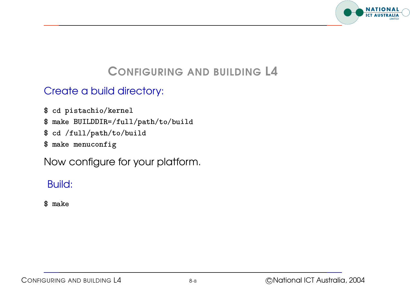

#### Create <sup>a</sup> build directory:  $\ddot{\phantom{0}}$  $\overline{a}$ !<br>!<br>! "<br>"<br>" ֧֚֚֝<br>֧֚֚֝<br>֧֚֚֝ .<br>.<br>.  $\overline{a}$  $\ddot{\phantom{a}}$ "<br>.<br>.  $\overline{a}$   $\ddot{\phantom{0}}$  **.**<br>.<br>.<br>.  $\frac{1}{2}$  $\ddot{\phantom{0}}$  $\ddot{\phantom{a}}$  $\ddot{\phantom{a}}$  $\ddot{\phantom{a}}$  $\ddot{\phantom{0}}$  $\overline{a}$

- j י<br>;  $\ddot{\phantom{a}}$   $\ddot{\phantom{a}}$ .<br>.<br>.  $\ddot{\phantom{a}}$ ( ֧֖֚֚֚֚֚֚֚֚֝֝<br>֧֚֝<br>֧֖֪֖֚֚֚֚֚֚֚֚֚֚֚֚֚֚֚֚֚֚֚֚֚֚֚֚֚֚֚֚֝֝֝֝֝֝֝֬֝֝֝֝֬֝֬֝֬֝֬֝֬֝֬֝֬֝֬֝֬֝֬֝֬֝֬֝֬֝֬֝֬֝֝֬  $\begin{bmatrix} 1 & 1 \\ 1 & 1 \\ 1 & 1 \end{bmatrix}$ ֧֚֚֝<br>֧֚֝<br>֧֚֚֝<br>֖֖֖֚֚֚֚֝֝֝<u>֚</u>  $\ddot{\phantom{0}}$  $\overline{a}$ ֧֚֝<br>֧֚֝<br>֧֚֚֝  $\begin{bmatrix} 1 & 1 & 1 \\ 1 & 1 & 1 \\ 1 & 1 & 1 \\ 1 & 1 & 1 \\ 1 & 1 & 1 \\ 1 & 1 & 1 \\ 1 & 1 & 1 \\ 1 & 1 & 1 \\ 1 & 1 & 1 \\ 1 & 1 & 1 \\ 1 & 1 & 1 \\ 1 & 1 & 1 \\ 1 & 1 & 1 \\ 1 & 1 & 1 \\ 1 & 1 & 1 \\ 1 & 1 & 1 & 1 \\ 1 & 1 & 1 & 1 \\ 1 & 1 & 1 & 1 \\ 1 & 1 & 1 & 1 \\ 1 & 1 & 1 & 1 \\ 1 & 1 & 1 & 1 \\ 1 & 1 &$ |<br>|<br>|<br>| \$ cd pistachio/kernel
- "  $\ddot{\phantom{a}}$  !<br>! .<br>.<br>.<br>.  $\begin{bmatrix} 1 & 1 \\ 1 & 1 \end{bmatrix}$  $\overline{a}$  $\ddot{\phantom{a}}$  $\ddot{\phantom{0}}$ !<br>!  $\ddot{\phantom{a}}$  $\begin{array}{c} \n\vdots \\
\vdots \\
\vdots\n\end{array}$ **.** .<br>.<br>.  $\overline{a}$  $\begin{array}{c} \begin{array}{c} \begin{array}{c} \end{array}\\ \begin{array}{c} \end{array} \end{array} \end{array}$  $\ddot{\phantom{a}}$  $\ddot{\phantom{a}}$ "<br>.<br>. !<br>. י<br>;<br>;  $\begin{array}{c} \n\end{array}$  $\begin{array}{c} \n\text{ } \text{ } \text{ } \text{ } \text{ } \end{array}$   $\begin{array}{c} \n\end{array}$ .<br>.<br>.<br>. .<br>.<br>. .<br>.<br>.  $\frac{1}{2}$  $\overline{a}$ **:**  "<br>"<br>" ֧֚֚֝<br>֧֚֝<br>֧֚֚֚֚֚֚֚֚֚֚֚֚֚֚֚֚֚֚֚֚֚֚֚֚֚֚֚֚֚֝֝֝֝֝֝֝ ֚֚֚֡<br>֚֚֚֚<br>֧֚֚֚֝  $\begin{array}{c} \n\vdots \\
\vdots \\
\vdots\n\end{array}$   $\begin{array}{c} \begin{array}{c} \text{ } \text{ } \text{ } \end{array} \end{array}$ .<br>.<br>. .<br>.<br>. \$ make BUILDDIR=/full/path/to/build j j j
- cd /full/path/to/build  $\boldsymbol{\$}$ j j j
- \$ make menuconfig -

Now configure for your platform.

#### Build:  $\begin{bmatrix} 1 \\ 1 \\ 1 \end{bmatrix}$  $\frac{1}{2}$  ֧֖֖֖֚֚֚֚֚֝<br>֧֚֝<br>֧֖֖֖֖֖֚֚֚֚֚֚֚֝֝<u>֚</u>

 $\ddot{\phantom{0}}$ \$ make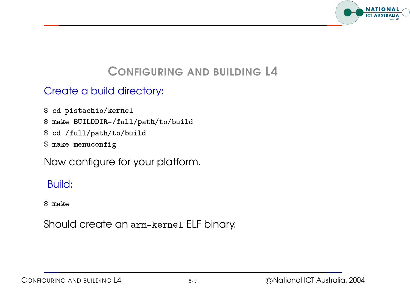

#### Create <sup>a</sup> build directory:  $\ddot{\phantom{0}}$  $\overline{a}$ !<br>!<br>! "<br>"<br>" ֧֚֚֝<br>֧֚֚֝<br>֧֚֚֝  $\overline{a}$ .<br>.<br>.  $\overline{a}$  $\ddot{\phantom{a}}$ "<br>.<br>.  $\overline{a}$   $\ddot{\phantom{0}}$  **:**<br>:<br>:  $\frac{1}{2}$  $\ddot{\phantom{0}}$  $\ddot{\phantom{a}}$  $\ddot{\phantom{a}}$  $\ddot{\phantom{a}}$  $\ddot{\phantom{0}}$  $\overline{a}$

- j י<br>;  $\ddot{\phantom{a}}$   $\ddot{\phantom{a}}$ .<br>.<br>.  $\ddot{\phantom{a}}$ ( ֧֖֚֚֚֚֚֚֚֚֝֝<br>֧֚֝<br>֧֖֪֖֚֚֚֚֚֚֚֚֚֚֚֚֚֚֚֚֚֚֚֚֚֚֚֚֚֚֚֚֝֝֝֝֝֝֝֬֝֝֝֝֬֝֬֝֬֝֬֝֬֝֬֝֬֝֬֝֬֝֬֝֬֝֬֝֬֝֬֝֬֝֝֬  $\begin{bmatrix} 1 & 1 \\ 1 & 1 \\ 1 & 1 \end{bmatrix}$ ֧֚֚֝<br>֧֚֝<br>֧֚֚֝<br>֖֖֖֚֚֚֚֝֝֝<u>֚</u>  $\ddot{\phantom{0}}$  $\overline{a}$ ֧֚֝<br>֧֚֝<br>֧֚֚֝  $\begin{bmatrix} 1 & 1 & 1 \\ 1 & 1 & 1 \\ 1 & 1 & 1 \\ 1 & 1 & 1 \\ 1 & 1 & 1 \\ 1 & 1 & 1 \\ 1 & 1 & 1 \\ 1 & 1 & 1 \\ 1 & 1 & 1 \\ 1 & 1 & 1 \\ 1 & 1 & 1 \\ 1 & 1 & 1 \\ 1 & 1 & 1 \\ 1 & 1 & 1 \\ 1 & 1 & 1 \\ 1 & 1 & 1 & 1 \\ 1 & 1 & 1 & 1 \\ 1 & 1 & 1 & 1 \\ 1 & 1 & 1 & 1 \\ 1 & 1 & 1 & 1 \\ 1 & 1 & 1 & 1 \\ 1 & 1 &$ |<br>|<br>|<br>| \$ cd pistachio/kernel
- "  $\ddot{\phantom{a}}$  !<br>! .<br>.<br>.<br>.  $\begin{bmatrix} 1 & 1 \\ 1 & 1 \end{bmatrix}$  $\overline{a}$  $\ddot{\phantom{a}}$  $\ddot{\phantom{0}}$ !<br>!  $\ddot{\phantom{a}}$  $\begin{array}{c} \n\vdots \\
\vdots \\
\vdots\n\end{array}$ **.** .<br>.<br>.  $\overline{a}$  $\begin{array}{c} \begin{array}{c} \begin{array}{c} \end{array}\\ \begin{array}{c} \end{array} \end{array} \end{array}$  $\ddot{\phantom{a}}$  $\ddot{\phantom{a}}$ "<br>.<br>. !<br>. י<br>;<br>;  $\begin{array}{c} \n\end{array}$  $\begin{array}{c} \n\text{ } \text{ } \text{ } \text{ } \text{ } \end{array}$   $\begin{array}{c} \n\end{array}$ .<br>.<br>.<br>. .<br>.<br>. .<br>.<br>.  $\frac{1}{2}$  $\overline{a}$ **:**  "<br>"<br>" ֧֚֚֝<br>֧֚֝<br>֧֚֚֚֚֚֚֚֚֚֚֚֚֚֚֚֚֚֚֚֚֚֚֚֚֚֚֚֚֚֝֝֝֝֝֝֝ ֚֚֚֡<br>֚֚֚֚<br>֧֚֚֚֝  $\begin{array}{c} \n\vdots \\
\vdots \\
\vdots\n\end{array}$   $\begin{array}{c} \begin{array}{c} \text{ } \text{ } \text{ } \end{array} \end{array}$ .<br>.<br>. .<br>.<br>. \$ make BUILDDIR=/full/path/to/build j j j
- \$ cd /full/path/to/build j j j
- \$ make menuconfig -

Now configure for your platform.

#### Build:  $\begin{bmatrix} 1 \\ 1 \\ 1 \end{bmatrix}$  $\frac{1}{2}$  ֧֖֖֖֚֚֚֚֚֝<br>֧֚֝<br>֧֖֖֖֖֖֚֚֚֚֚֚֚֝֝<u>֚</u>

 $\ddot{\phantom{0}}$ \$ make

Should create an  $\operatorname{arm-kernel}$  ELF binary.  $\ddot{\phantom{a}}$  $\overline{a}$ -  $\ddot{\phantom{a}}$  $\overline{a}$  $\overline{a}$  $\ddot{\phantom{a}}$  $\overline{a}$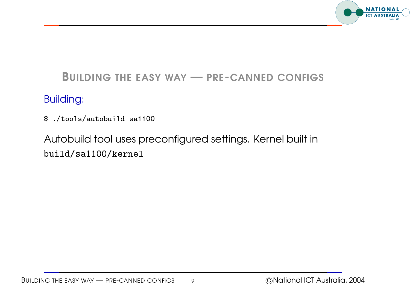

#### BUILDING THE EASY WAY — PRE-CANNED CONFIGS

#### Building:

 " !

Autobuild tool uses preconfigured settings. Kernel built in build/sa1100/kernel tools/autobuild sa:<br>//tobuild fool uses<br>ild/sa1100/kerne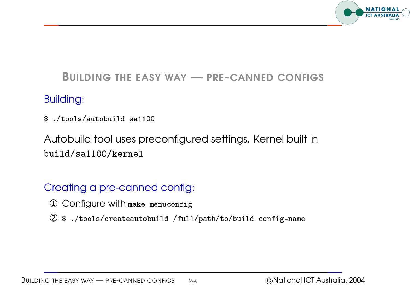

#### BUILDING THE EASY WAY — PRE-CANNED CONFIGS

#### Building:

 " !

Autobuild tool uses preconfigured settings. Kernel built in build/sa1100/kernel tools/autobuild sa:<br>//tobuild fool uses<br>ild/sa1100/kerne

#### Creating <sup>a</sup> pre-canned config:

- $\circledR$  Configure with make menuconfig
- % /tools/createautobuild /full/path/to/build config-nam/<br>2 \$ ./tools/createautobuild /full/path/to/build config-nam/ ֦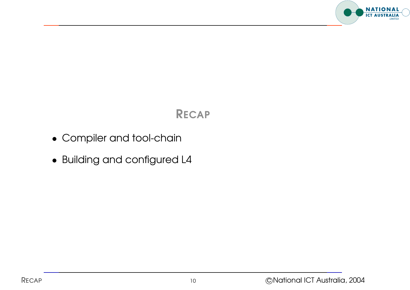

#### RECAP

- Compiler and tool-chain
- Building and configured L4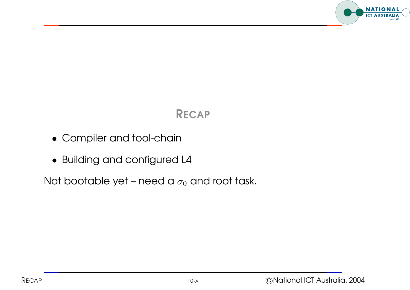

### RECAP

- Compiler and tool-chain
- Building and configured L4

Not bootable yet – need a  $\sigma_0$  and root task.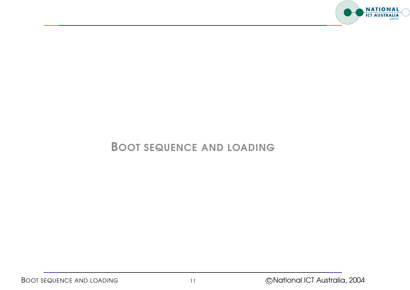

#### BOOT SEQUENCE AND LOADING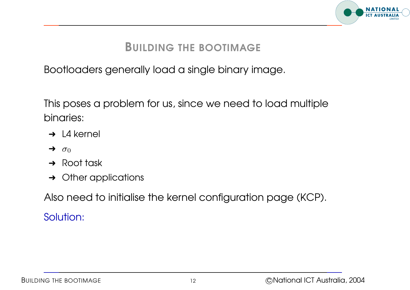

#### BUILDING THE BOOTIMAGE

Bootloaders generally load <sup>a</sup> single binary image.

This poses <sup>a</sup> problem for us, since we need to load multiple binaries:

- $\rightarrow$  L4 kernel
- $\rightarrow \sigma_0$
- $\rightarrow$  Root task
- $\rightarrow$  Other applications

Also need to initialise the kernel configuration page (KCP). Solution: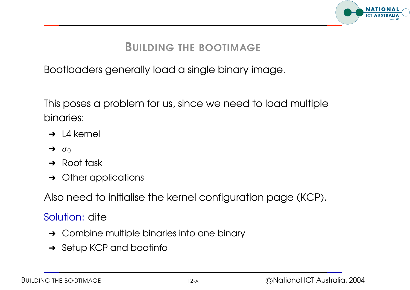

#### BUILDING THE BOOTIMAGE

Bootloaders generally load <sup>a</sup> single binary image.

This poses <sup>a</sup> problem for us, since we need to load multiple binaries:

- $\rightarrow$  14 kernel
- $\rightarrow \sigma_0$
- **→** Root task
- **→** Other applications

Also need to initialise the kernel configuration page (KCP).

#### Solution: dite

- $\rightarrow$  Combine multiple binaries into one binary
- **→ Setup KCP and bootinfo**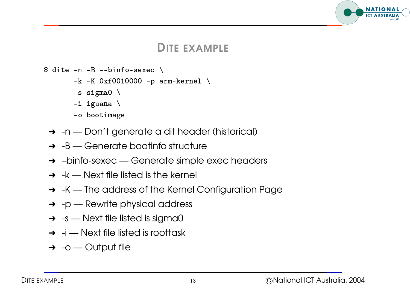#### **NATIONAL ICT AUSTRALI**

#### DITE EXAMPLE

- \$ dite  $-n$   $-B$   $--binfo$ -sexec  $\setminus$ --bi<br>Oxf0<br>ma0
- -k -K 0xf0010000 -p arm-kerne  $\overline{a}$ 
	- $-s$  sigmal  $\setminus$  $0xf0$ <br>gma $0$ <br>uana
	- $-i$  iguana  $\setminus$
	- -o bootimage  $\overline{a}$
	- $\rightarrow$  -n Don't generate a dit header (historical)
	- $\rightarrow$  -B Generate bootinfo structure
	- ➜ –binfo-sexec Generate simple exec headers
	- $\rightarrow$  -k Next file listed is the kernel
	- → K The address of the Kernel Configuration Page
	- $\rightarrow$  -p Rewrite physical address
	- $\rightarrow$  -s Next file listed is sigma0
	- $\rightarrow$  -i Next file listed is roottask
	- $\rightarrow$  -o Output file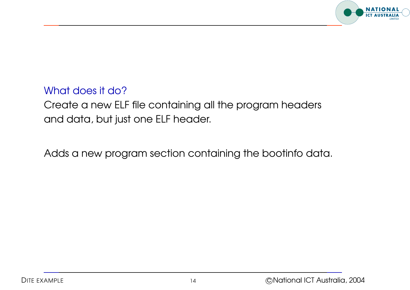

#### What does it do?

Create <sup>a</sup> new ELF file containing all the program headers and data, but just one ELF header.

Adds <sup>a</sup> new program section containing the bootinfo data.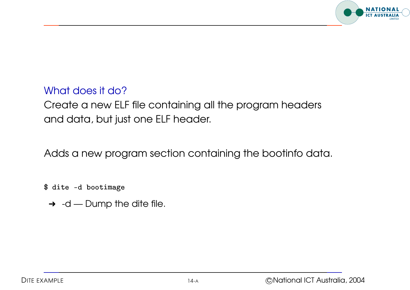

#### What does it do?

Create <sup>a</sup> new ELF file containing all the program headers and data, but just one ELF header.

Adds <sup>a</sup> new program section containing the bootinfo data.

\$ dite -d bootimage  $\overline{a}$ 

 $\rightarrow$  -d — Dump the dite file.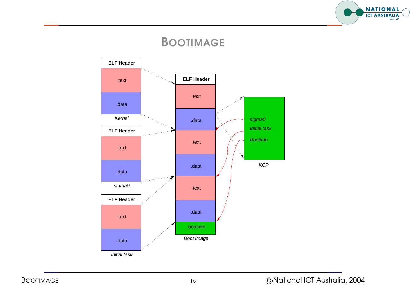

#### BOOTIMAGE

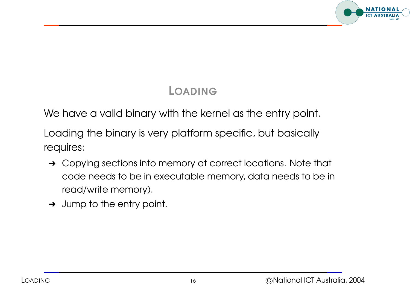

## LOADING

We have a valid binary with the kernel as the entry point.

Loading the binary is very platform specific, but basically requires:

- → Copying sections into memory at correct locations. Note that code needs to be in executable memory, data needs to be in read/write memory).
- $\rightarrow$  Jump to the entry point.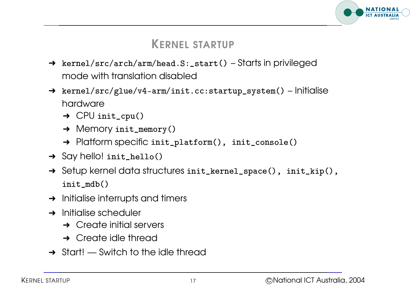

#### KERNEL STARTUP

- → kernel/src/arch/arm/head.S:\_start() Starts in privileged mode with translation disabled
- → kernel/src/glue/v4-arm/init.cc:startup\_system() Initialise hardware <mark>kernel/src/glue/</mark>\<br>hardware<br>→ CPU init\_cpu(  $\begin{bmatrix} 1 \\ 1 \\ 1 \end{bmatrix}$ -------, ---, <sub>0</sub>---, , - ----, .<br>hardware<br>→ CPU init\_cpu()<br>→ Memory init\_memory(
	-
	-
	- → CPU init\_cpu()<br>→ Memory init\_memory()<br>→ Platform specific init\_platform(), init\_console( -<br>it\_memo:<br>∋CifiC in<br>\_hello(
- $\rightarrow$  Say hello! ini
- → Platform specific init\_platform(), init\_console()<br>
→ Say hello! init\_hello()<br>
→ Setup kernel data structures init\_kernel\_space(), init\_kip() 1n1  $\frac{1}{2}$ ello!<br>, kerr<br>mdb(
- $\rightarrow$  Initialise interrupts and timers
- $\rightarrow$  Initialise scheduler
	- $\rightarrow$  Create initial servers
	- **→ Create idle thread**
- $\rightarrow$  Start! Switch to the idle thread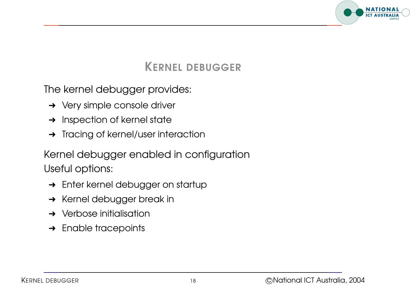

KERNEL DEBUGGER

The kernel debugger provides:

- **→** Very simple console driver
- **→** Inspection of kernel state
- **→** Tracing of kernel/user interaction

Kernel debugger enabled in configuration Useful options:

- → Enter kernel debugger on startup
- **→ Kernel debugger break in**
- $\rightarrow$  Verbose initialisation
- $\rightarrow$  Enable tracepoints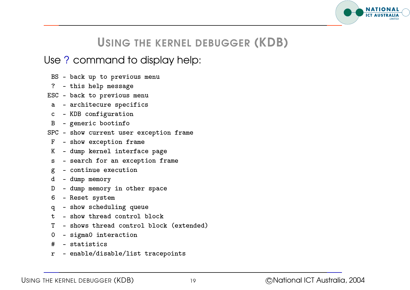

#### USING THE KERNEL DEBUGGER (KDB)

#### Use ? command to display help:  $\ddot{\phantom{a}}$  $\ddot{\phantom{a}}$  .<br>.<br>.  $\begin{array}{c} \n\end{array}$  $\ddot{\phantom{a}}$  $\frac{1}{2}$ │<br>│<br>│  $\frac{1}{2}$  $\ddot{\phantom{0}}$ .<br>ו .<br>.<br>.  $\overline{a}$ .<br>.<br>.  $\overline{a}$   $\overline{a}$ .<br>.<br>.  $\begin{array}{c} \begin{array}{c} \begin{array}{c} \end{array}\\ \begin{array}{c} \end{array} \end{array} \end{array}$ .<br>.<br>.  $\overline{a}$  $\ddot{\phantom{0}}$ .<br>.<br>.  $\begin{bmatrix} 1 & 1 & 1 \\ 1 & 1 & 1 \\ 1 & 1 & 1 \\ 1 & 1 & 1 \\ 1 & 1 & 1 \\ 1 & 1 & 1 \\ 1 & 1 & 1 \\ 1 & 1 & 1 \\ 1 & 1 & 1 \\ 1 & 1 & 1 \\ 1 & 1 & 1 \\ 1 & 1 & 1 \\ 1 & 1 & 1 \\ 1 & 1 & 1 \\ 1 & 1 & 1 \\ 1 & 1 & 1 \\ 1 & 1 & 1 & 1 \\ 1 & 1 & 1 & 1 \\ 1 & 1 & 1 & 1 \\ 1 & 1 & 1 & 1 \\ 1 & 1 & 1 & 1 \\ 1 & 1 & 1 &$   $\frac{1}{2}$ ֧֪֪ׅ֚֞֝֝֬֝֝֟֝֬֝֬֝֬֝֝֬֝֬֝֬֝֝֬֝֬֝֝֬֝֝֬֝֝֟֝<br>֧֪֪֪֪֪֪֪֪ׅ֚֝֝֟֝֬֝֟֝֬֝֟֝֬֝֬֝<br>֧֖֖֖֖֖֖֖֖֖֚֚֚֚֚֚֚֚֚֚֚֚֚֝  $\overline{a}$  ו<br>ו ֦֧֖֚֚֚֝֝<br>֧֚֝<br>֧֚֚֚֚֚֚֚֚֚֚֚֚֚֚֚֚֚֚֚֚֚֚֚֝֝֝֝֝֝ ֖֖֚֚֚֚֡֝<br>֧֚֝<br>֖֖֖֖֖֖֖֚֚֚֚֚֚֚֚֚֚֚֝֝֝֝֝֝<u>֚</u>

- - $\overline{\phantom{a}}$ l י<br>.<br>. <u>.</u> ֧֖֚֚֚֚֝<br>֧֚֚֚֝<br>֧֖֖֖֖֖֖֖֖֖֖֖֖֖֖֖֚֚֚֚֚֚֚֚֚֚֚֚֚֚֚֚֚֚֚֝֝֝<br>֧֪֝ .<br>.<br>.  $\ddot{ }$  $\frac{1}{2}$ .<br>.<br>. .<br>.<br>. .<br>.<br>.<br>.  $\begin{bmatrix} 1 & 1 \\ 1 & 1 \\ 1 & 1 \end{bmatrix}$  $\overline{a}$  $\begin{bmatrix} 1 \\ 1 \\ 1 \end{bmatrix}$  $\begin{bmatrix} 1 \\ 1 \\ 1 \end{bmatrix}$  $\ddot{\phantom{0}}$ .<br>.<br>. .<br>.<br>. י<br>י  $\overline{a}$ .<br>.<br>. BS - back up to previous menu
- -.<br>.<br>.<br>. |<br>|<br>| |<br>|<br>|  $\begin{bmatrix} 1 \\ 1 \\ 1 \\ 1 \end{bmatrix}$  $\frac{1}{2}$ .<br>.<br>. .<br>.<br>.  $\ddot{\phantom{0}}$ .<br>.<br>.<br>.  $\ddot{\phantom{a}}$   $\overline{a}$ ֦֧֚֚<br>֧֚֝<br>֧֚֝ .<br>.<br>. .<br>.<br>. المستمدين مراجعا سأحلف
- $\ddot{\phantom{a}}$ l  $\overline{\phantom{a}}$ .<br>.<br>.  $\frac{1}{2}$ י<br>ו .<br>.<br>. .<br>.<br>.  $\ddot{\phantom{0}}$  $\ddot{\phantom{0}}$  $\begin{bmatrix} 1 & 1 & 1 \\ 1 & 1 & 1 \\ 1 & 1 & 1 \\ 1 & 1 & 1 \\ 1 & 1 & 1 \\ 1 & 1 & 1 \\ 1 & 1 & 1 \\ 1 & 1 & 1 \\ 1 & 1 & 1 \\ 1 & 1 & 1 \\ 1 & 1 & 1 \\ 1 & 1 & 1 \\ 1 & 1 & 1 \\ 1 & 1 & 1 \\ 1 & 1 & 1 \\ 1 & 1 & 1 \\ 1 & 1 & 1 \\ 1 & 1 & 1 \\ 1 & 1 & 1 & 1 \\ 1 & 1 & 1 & 1 \\ 1 & 1 & 1 & 1 \\ 1 & 1 & 1 & 1 \\ 1 &$ |<br>|<br>| .<br>.<br>.  $\ddot{\phantom{a}}$ י<br>י .<br>.<br>. :<br>.<br>.  $\ddot{\phantom{a}}$ a dhe ele dele concerno est
- and the same of the same
- .<br>.<br>. .<br>.<br>ו  $\begin{bmatrix} 1 \\ 1 \\ 1 \\ 1 \end{bmatrix}$ .<br>|<br>ו  $\ddot{\phantom{a}}$ ֚֚֚֚֡֝֝֬֝֬֝֬֝֬֝֝֬֝֬֝֬֝֬֝֬֝֬֝֬֝֬֝֟֬֝֬֝֟֝֬֝֬֝֬֝֬֝֬֝֬֝֬֝֬֝֬֝֬֝֬֝֬֝֬֝֬֝֬֝֬֝֬֝<br>֧֪֪֪֪֪֪֪֪֪ׅ֪֪ׅ֖֪֪ׅ֖ׅ֖֪֪ׅׅׅ֖ׅ֧֪ׅ֛ׅ֧֚֚֚֝֝֬֝֬֝֟֝֬֝֬֝֟֝֬֝֟֝֬֝֝֟֝֬֝֬֝<br>֧֪֪֧֪֪֪֧֪֪֪֪֪֪֖֪֝֝֝֝֝֝֝֝ י<br>ו .<br>.<br>. .<br>.<br>. .<br>.<br>.  $\begin{array}{c} \begin{array}{c} \begin{array}{c} \end{array}\\ \begin{array}{c} \end{array} \end{array} \end{array}$ .<br>.<br>.  $\mathbf{C}$ - $\mathbf{v}$  $\overline{\phantom{a}}$  $\overline{\phantom{a}}$
- $\begin{bmatrix} 1 \\ 1 \\ 1 \\ 1 \end{bmatrix}$  $\begin{array}{c} \n\ddots \\
\vdots \\
\vdots\n\end{array}$  $\overline{a}$ י<br>ו .<br>.<br>.<br>. .<br>.<br>. |<br>|<br>| .<br>.<br>.  $\begin{bmatrix} 1 \\ 1 \\ 1 \\ 1 \end{bmatrix}$ .<br>.<br>. .<br>.<br>. .<br>.<br>. .<br>.<br>. .<br>.<br>.<br>. .<br>.<br>.<br>. י<br>י  $\frac{1}{2}$ .<br>.<br>.<br>. |<br>|<br>|  $\begin{array}{c} \begin{array}{c} \begin{array}{c} \end{array}\\ \begin{array}{c} \end{array} \end{array} \end{array}$ .<br>.<br>.  $\ddot{\phantom{0}}$ :<br>.<br>.  $\overline{a}$  $\ddot{\phantom{a}}$  ֺ֚֝֝֟֟֘֝֬֝֝֝֝֝֝֝֝֝֝֝֝֝֝֝֝֝֝֝֝֝<br>֧֝֝֝<br>֧֖֖֖֖֖֖֖֚֝֝֝֝֟֝֬֝֟֝֟֝֬֝֟֝֬֝֟֝֬֝֬֝֝֟֝֬֝֝֟֝֬֝ .<br>.<br>.<br>. .<br>.<br>. :<br>:<br>:  $\ddot{\phantom{a}}$ - generic bootinfo  $\mathbf{B}$ - $\overline{\phantom{a}}$ l  $\overline{\phantom{a}}$
- $\ddot{\phantom{0}}$ - $\overline{a}$   $\begin{bmatrix} 1 & 1 \\ 1 & 1 \\ 1 & 1 \end{bmatrix}$ .<br>.<br>.  $\overline{a}$  $\ddot{\phantom{a}}$  $\ddot{\phantom{a}}$  $\ddot{\phantom{a}}$  $\overline{\phantom{a}}$  $\frac{1}{2}$  $\dddot{\phantom{0}}$  $\begin{bmatrix} 1 & 1 & 1 \\ 1 & 1 & 1 \\ 1 & 1 & 1 \\ 1 & 1 & 1 \\ 1 & 1 & 1 \\ 1 & 1 & 1 \\ 1 & 1 & 1 \\ 1 & 1 & 1 \\ 1 & 1 & 1 \\ 1 & 1 & 1 \\ 1 & 1 & 1 \\ 1 & 1 & 1 \\ 1 & 1 & 1 \\ 1 & 1 & 1 \\ 1 & 1 & 1 \\ 1 & 1 & 1 \\ 1 & 1 & 1 & 1 \\ 1 & 1 & 1 & 1 \\ 1 & 1 & 1 & 1 \\ 1 & 1 & 1 & 1 \\ 1 & 1 & 1 & 1 \\ 1 & 1 & 1 &$   $\ddot{\phantom{a}}$   $\ddot{\phantom{0}}$  $\ddot{\phantom{a}}$  $\ddot{\phantom{0}}$ .<br>.<br>.<br>.  $\ddot{\phantom{0}}$  $\begin{array}{c} \begin{array}{c} \text{ } \end{array} \end{array}$  $\begin{bmatrix} 1 & 1 & 1 \\ 1 & 1 & 1 \\ 1 & 1 & 1 \\ 1 & 1 & 1 \\ 1 & 1 & 1 \\ 1 & 1 & 1 \\ 1 & 1 & 1 \\ 1 & 1 & 1 \\ 1 & 1 & 1 \\ 1 & 1 & 1 \\ 1 & 1 & 1 \\ 1 & 1 & 1 \\ 1 & 1 & 1 \\ 1 & 1 & 1 \\ 1 & 1 & 1 \\ 1 & 1 & 1 \\ 1 & 1 & 1 \\ 1 & 1 & 1 \\ 1 & 1 & 1 \\ 1 & 1 & 1 \\ 1 & 1 & 1 \\ 1 & 1 & 1 \\ 1 & 1 & 1 \\ 1 & 1 &$  $\frac{1}{2}$  $\ddot{\phantom{a}}$  $\begin{array}{c} \begin{array}{c} \begin{array}{c} \end{array}\\ \begin{array}{c} \end{array} \end{array} \end{array}$  $\begin{bmatrix} 1 \\ 1 \\ 1 \\ 1 \end{bmatrix}$ ו<br>ו .<br>.<br>. .<br>.<br>. .<br>.<br>.<br>. .<br>.<br>.<br>.  $\ddot{\phantom{0}}$ .<br>.<br>.<br>.  $\begin{bmatrix} 1 & 1 \\ 1 & 1 \\ 1 & 1 \end{bmatrix}$ ֧֖֚֚֚֚֚֚֚֚֝֝֝֝֝֝֝֬֝֓֝֬֝֝֬֝֬֝֝֬֝֝֟֓֝֬֝֬֝֝֟֓֝֬֝֬֝֬֝֬֝֝֬֝֬֝֝֬֝֝֬֝֬֝֬֝֝֬֝֬֝֝֬֝֬֝֝<br>֧֧֖֖֧֪֪֖֚֚֚֚֚֚֚֚֚֚֚֚֚֝֝֝֝֝֝֝֝֬֝֝֝֝֬֝֝֬֝֝֬֝֝  $\ddot{\phantom{0}}$   $\frac{1}{2}$  $\overline{a}$ <u>alezze ziennandat izazen zen</u>
- $\mathbf F$ -<u>alezza zazantian f</u> l l
- $\begin{bmatrix} 1 & 1 & 1 \\ 1 & 1 & 1 \\ 1 & 1 & 1 \\ 1 & 1 & 1 \\ 1 & 1 & 1 \\ 1 & 1 & 1 \\ 1 & 1 & 1 \\ 1 & 1 & 1 \\ 1 & 1 & 1 \\ 1 & 1 & 1 \\ 1 & 1 & 1 \\ 1 & 1 & 1 \\ 1 & 1 & 1 \\ 1 & 1 & 1 \\ 1 & 1 & 1 \\ 1 & 1 & 1 \\ 1 & 1 & 1 \\ 1 & 1 & 1 \\ 1 & 1 & 1 \\ 1 & 1 & 1 \\ 1 & 1 & 1 \\ 1 & 1 & 1 \\ 1 & 1 & 1 \\ 1 & 1 &$ .<br>.<br>.  $\ddot{\phantom{0}}$ |<br>|<br>| :<br>;<br>; ו<br>ו .<br>.<br>.<br>.  $\overline{a}$  $\begin{bmatrix} 1 & 1 & 1 \\ 1 & 1 & 1 \\ 1 & 1 & 1 \\ 1 & 1 & 1 \\ 1 & 1 & 1 \\ 1 & 1 & 1 \\ 1 & 1 & 1 \\ 1 & 1 & 1 \\ 1 & 1 & 1 \\ 1 & 1 & 1 \\ 1 & 1 & 1 \\ 1 & 1 & 1 \\ 1 & 1 & 1 \\ 1 & 1 & 1 \\ 1 & 1 & 1 \\ 1 & 1 & 1 \\ 1 & 1 & 1 & 1 \\ 1 & 1 & 1 & 1 \\ 1 & 1 & 1 & 1 \\ 1 & 1 & 1 & 1 \\ 1 & 1 & 1 & 1 \\ 1 & 1 & 1 &$ .<br>.<br>.<br>. .<br>.<br>.<br>.  $\ddot{\phantom{0}}$  $\overline{a}$ .<br>.<br>.<br>.  $\ddot{\phantom{0}}$ .<br>.<br>.  $\ddot{\phantom{0}}$ .<br>.<br>.<br>.  $\frac{1}{2}$ .<br>.<br>. י<br>י .<br>.<br>. י<br>י  $\frac{1}{2}$ .<br>.<br>.<br>.  $\ddot{\phantom{0}}$  $\begin{bmatrix} 1 & 1 & 1 \\ 1 & 1 & 1 \\ 1 & 1 & 1 \\ 1 & 1 & 1 \\ 1 & 1 & 1 \\ 1 & 1 & 1 \\ 1 & 1 & 1 \\ 1 & 1 & 1 \\ 1 & 1 & 1 \\ 1 & 1 & 1 \\ 1 & 1 & 1 \\ 1 & 1 & 1 \\ 1 & 1 & 1 \\ 1 & 1 & 1 \\ 1 & 1 & 1 & 1 \\ 1 & 1 & 1 & 1 \\ 1 & 1 & 1 & 1 \\ 1 & 1 & 1 & 1 \\ 1 & 1 & 1 & 1 \\ 1 & 1 & 1 & 1 \\ 1 & 1 & 1 & 1 \\ 1 &$ .<br>.<br>.<br>.  $\ddot{\phantom{0}}$ |<br>|<br>| .<br>.<br>. .<br>.<br>. .<br>.<br>. .<br>.<br>.<br>.  $\begin{bmatrix} 1 \\ 1 \\ 1 \end{bmatrix}$ .<br>.<br>. K a alaman la ser -
- $\ddot{\phantom{0}}$ .<br>.<br>. |<br>|<br>|  $\overline{a}$ .<br>.<br>. .<br>.<br>.<br>. .<br>.<br>.<br>. .<br>.<br>.  $\begin{bmatrix} 1 \\ 1 \\ 1 \\ 1 \end{bmatrix}$  $\ddot{}}$ .<br>.<br>.<br>.  $\begin{bmatrix} 1 & 1 & 1 \\ 1 & 1 & 1 \\ 1 & 1 & 1 \\ 1 & 1 & 1 \\ 1 & 1 & 1 \\ 1 & 1 & 1 \\ 1 & 1 & 1 \\ 1 & 1 & 1 \\ 1 & 1 & 1 \\ 1 & 1 & 1 \\ 1 & 1 & 1 \\ 1 & 1 & 1 \\ 1 & 1 & 1 \\ 1 & 1 & 1 \\ 1 & 1 & 1 \\ 1 & 1 & 1 \\ 1 & 1 & 1 & 1 \\ 1 & 1 & 1 & 1 \\ 1 & 1 & 1 & 1 \\ 1 & 1 & 1 & 1 \\ 1 & 1 & 1 & 1 \\ 1 & 1 & 1 &$ a ang panglang na pangangan na mangang na S l  $\overline{\phantom{a}}$
- $\frac{1}{2}$  $\overline{a}$  $\overline{a}$  $\begin{bmatrix} 1 & 1 & 1 \\ 1 & 1 & 1 \\ 1 & 1 & 1 \\ 1 & 1 & 1 \\ 1 & 1 & 1 \\ 1 & 1 & 1 \\ 1 & 1 & 1 \\ 1 & 1 & 1 \\ 1 & 1 & 1 \\ 1 & 1 & 1 \\ 1 & 1 & 1 \\ 1 & 1 & 1 \\ 1 & 1 & 1 \\ 1 & 1 & 1 \\ 1 & 1 & 1 \\ 1 & 1 & 1 \\ 1 & 1 & 1 & 1 \\ 1 & 1 & 1 & 1 \\ 1 & 1 & 1 & 1 \\ 1 & 1 & 1 & 1 \\ 1 & 1 & 1 & 1 \\ 1 & 1 & 1 &$ .<br>.<br>.<br>. ֧֖֖֚֚֚֚֝<br>֧֚֝<br>֧֚֝  $\vdots$  $\ddot{}}$ !<br>.<br>.  $\begin{array}{c} \n\end{array}$ .<br>.<br>. .<br>.<br>.  $\begin{bmatrix} 1 & 0 & 0 \\ 0 & 0 & 0 \\ 0 & 0 & 0 \\ 0 & 0 & 0 \\ 0 & 0 & 0 \\ 0 & 0 & 0 \\ 0 & 0 & 0 \\ 0 & 0 & 0 \\ 0 & 0 & 0 \\ 0 & 0 & 0 \\ 0 & 0 & 0 & 0 \\ 0 & 0 & 0 & 0 \\ 0 & 0 & 0 & 0 \\ 0 & 0 & 0 & 0 \\ 0 & 0 & 0 & 0 \\ 0 & 0 & 0 & 0 & 0 \\ 0 & 0 & 0 & 0 & 0 \\ 0 & 0 & 0 & 0 & 0 \\ 0 & 0 & 0 & 0 & 0 \\ 0 &$  $\begin{bmatrix} 1 & 1 & 1 \\ 1 & 1 & 1 \\ 1 & 1 & 1 \\ 1 & 1 & 1 \\ 1 & 1 & 1 \\ 1 & 1 & 1 \\ 1 & 1 & 1 \\ 1 & 1 & 1 \\ 1 & 1 & 1 \\ 1 & 1 & 1 \\ 1 & 1 & 1 \\ 1 & 1 & 1 \\ 1 & 1 & 1 \\ 1 & 1 & 1 \\ 1 & 1 & 1 & 1 \\ 1 & 1 & 1 & 1 \\ 1 & 1 & 1 & 1 \\ 1 & 1 & 1 & 1 \\ 1 & 1 & 1 & 1 \\ 1 & 1 & 1 & 1 \\ 1 & 1 & 1 & 1 \\ 1 &$ - continue execution g  $\overline{\phantom{a}}$ l
- l !<br>|<br>| "<br>"<br>" י<br>ו ו<br>ו<br>ו .<br>|<br>| ו<br>ו<br>ו  $\ddot{}}$ .<br>.<br>.<br>.  $\begin{bmatrix} 1 \\ 1 \\ 1 \end{bmatrix}$
- ֧֞<u>֚</u><br>֧֝֝֟ .<br>.<br>. י<br>ו  $\ddot{\phantom{0}}$ ֖֖֖֚֚֚֡֝֬֝֬֝֬<br>֧֪֪֪֪֝֝֬֝֝֝֬<u>֚</u><br>֧֪ .<br>.<br>.  $\ddot{\phantom{a}}$  $\begin{bmatrix} 1 \\ 1 \\ 1 \end{bmatrix}$  $\begin{array}{c} \begin{array}{c} \begin{array}{c} \end{array}\\ \begin{array}{c} \end{array} \end{array} \end{array}$ .<br>.<br>. ֧֚֚֝<br>֧֚֝<br>֚֝  $\ddot{\phantom{a}}$  .<br>.<br>. D alumn momonan in other a l  $\overline{\phantom{a}}$
- .<br>.<br>. י<br>ו :<br>:<br>: |<br>|<br>| .<br>.<br>.<br>. י<br>י .<br>.<br>.<br>. .<br>.<br>.<br>.  $\frac{1}{2}$ |<br>|<br>|  $\begin{bmatrix} 1 \\ 1 \\ 1 \end{bmatrix}$ |<br>|<br>|<br>| .<br>.<br>. י<br>ו .<br>.<br>. .<br>.<br>. .<br>.<br>. :<br>;<br>; .<br>.<br>. 6 - $\mathbf{D}$ |<br>|<br>|
- $\ddot{\phantom{a}}$  $\frac{1}{2}$ .<br>.<br>. י<br>.<br>. .<br>.<br>.  $\ddot{\phantom{a}}$  $\ddot{\phantom{a}}$  $\overline{a}$ |<br>|<br>|  $\begin{array}{c} \begin{array}{c} \begin{array}{c} \begin{array}{c} \end{array}\\ \end{array} \end{array} \end{array} \end{array}$ .<br>.<br>.  $\begin{bmatrix} 1 \\ 1 \end{bmatrix}$  $\overline{\phantom{a}}$  $\begin{array}{c} \begin{array}{c} \begin{array}{c} \end{array}\\ \begin{array}{c} \end{array} \end{array} \end{array}$  $\ddot{\phantom{0}}$ .<br>.<br>. י<br>י  $\ddot{\phantom{a}}$  $\overline{a}$  $\frac{1}{2}$  $\frac{1}{2}$   $\frac{1}{2}$ **.** a da ann an aile a dealbha an a  $\mathsf{a}$ I
- -I  $\overline{\phantom{a}}$  $\overline{\phantom{a}}$  $\overline{\phantom{a}}$ י<br>י  $\ddot{\phantom{0}}$  $\ddot{\phantom{a}}$  $\overline{a}$  $\ddot{\phantom{a}}$ t - show thread control block
- $\begin{bmatrix} 1 & 1 \\ 1 & 1 \\ 1 & 1 \end{bmatrix}$  $\overline{a}$  $\overline{a}$  $\dddot{\phantom{0}}$  ( **.**<br>. q<br>T<br>O י<br>י |<br>|<br>|<br>| .<br>.<br>.  $\frac{1}{2}$ s<br>t<br>0 |<br>|<br>|<br>|  $\ddot{\phantom{0}}$ ֧֚֝<br>֧֚֝<br>֧֚֚֝ ֧֚֚֝<br>֧֚֝<br>֧֚֝ |<br>|<br>| .<br>.<br>.<br>. .<br>.<br>.  $\ddot{\phantom{a}}$ .<br>.<br>. י<br>י .<br>.<br>. .<br>.<br>. :<br>:<br>: י<br>ו .<br>.<br>. .<br>.<br>.<br>. .<br>.<br>. י<br>י T. the computer of the context and the state of the state of the state of the state of the state of the state of the state of the state of the state of the state of the state of the state of the state of the state of the stat - $\ddot{\phantom{0}}$ l l l  $\overline{\phantom{a}}$
- :<br>.<br>. .<br>.<br>.<br>. .<br>.<br>.  $\ddot{\phantom{a}}$  $\ddot{\phantom{a}}$ י<br>י )<br>-<br>-֧֖֚֚֚֚֚֝֝֝֕֝֬֝֝֝֬֝֝֬֝֝֬֝֬֝֝֬֝֝֟֝֬֝֟֝֬֝֝֬֝֝֟֝֬֝֬֝֟֝֬֝֝<br>֧֧֧֧֧֧֚֚֚֚֚֚֚֚֚֚֚֚֚֚֚֚֚֚֚֚֚֚֚֚֚֚֚֝֝֝֬֝֬֝֬֝  $\ddot{\phantom{a}}$ - sigma0 interaction  $\overline{0}$ l
- $\begin{bmatrix} 1 & 1 & 1 \\ 1 & 1 & 1 \\ 1 & 1 & 1 \\ 1 & 1 & 1 \\ 1 & 1 & 1 \\ 1 & 1 & 1 \\ 1 & 1 & 1 \\ 1 & 1 & 1 \\ 1 & 1 & 1 \\ 1 & 1 & 1 \\ 1 & 1 & 1 \\ 1 & 1 & 1 \\ 1 & 1 & 1 \\ 1 & 1 & 1 \\ 1 & 1 & 1 \\ 1 & 1 & 1 \\ 1 & 1 & 1 \\ 1 & 1 & 1 \\ 1 & 1 & 1 \\ 1 & 1 & 1 \\ 1 & 1 & 1 \\ 1 & 1 & 1 \\ 1 & 1 & 1 \\ 1 & 1 &$  $\ddot{.}$ .<br>.<br>. י<br>י .<br>.<br>.<br>.  $\frac{1}{2}$ )<br>|<br>|  $\overline{a}$ י<br>י - statistics  $#$ -
- $\ddot{\phantom{a}}$  $\ddot{\phantom{a}}$  $\ddot{\phantom{a}}$  $\overline{a}$  $\ddot{\phantom{0}}$ י<br>ו י<br>י .<br>.<br>.  $\ddot{\phantom{a}}$ - enable/disable/list tracepoints - $\mathbf r$  $\overline{\phantom{a}}$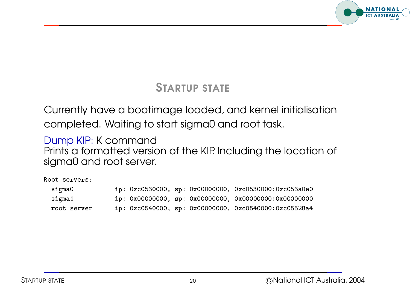

#### STARTUP STATE

Currently have <sup>a</sup> bootimage loaded, and kernel initialisation completed. Waiting to start sigma0 and root task.

Dump KIP: K command Prints <sup>a</sup> formatted version of the KIP. Including the location of sigma0 and root server. r 115 G 10<br>|MAO Ar<br>t servers a0e0<br>a0e0

Root servers: l

| oot servers: |  |  |                                                                    |
|--------------|--|--|--------------------------------------------------------------------|
| sigma0       |  |  | ip: 0xc0530000, sp: 0x00000000, 0xc0530000:0xc053a0e0              |
| sigma1       |  |  | ip: $0x00000000$ , sp: $0x00000000$ , $0x00000000$ : $0x000000000$ |
| root server  |  |  | ip: 0xc0540000, sp: 0x00000000, 0xc0540000:0xc05528a4              |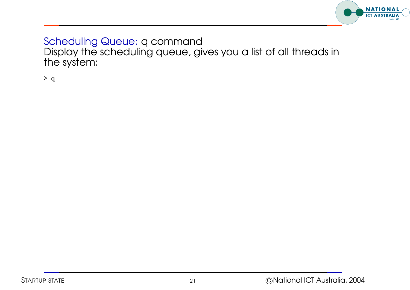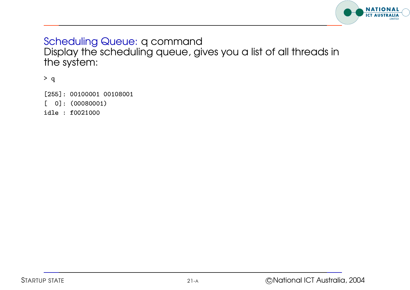

''''''''''' \* q<br>[255]: 00100001<br>[ 0]: (00080001 [255]: 00100001<br>[ 0]: (0008000<br>idle : f0021000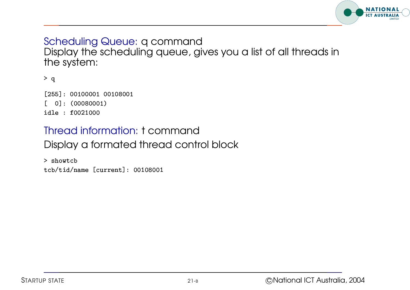

''''''''''' \* q<br>[255]: 00100001<br>[ 0]: (00080001 [255]: 00100001<br>[ 0]: (0008000<br>idle : f0021000

#### Thread information: t command

Display <sup>a</sup> formated thread control block ul<br>Ja<br>wtc

 $>$  showtcb Display a formated threo<br>> showtcb<br>tcb/tid/name [current]: 0010800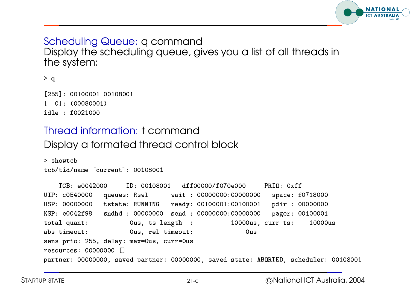

```
> q<br>|-<br>| 12551: 00100001 00108001
 * q<br>[255]: 00100001<br>[ 0]: (00080001
 [255]: 00100001<br>[ 0]: (0008000<br>idle : f0021000
```
# Thread information: t command ul<br>Ja<br>wtc

```
Display a formated thread control block
```

```
> showtch
Display a formated threo<br>> showtcb<br>tcb/tid/name [current]: 0010800
> showtcb<br>tcb/tid/name [current]: 00108001<br>=== TCB: e0042000 === ID: 00108001 = dff00000/f070e000 === PRIO: 0xff =======
UIP: c0540000 queues: Rswl wait: 00000000:00000000 space: f0718000
                                                                                                                    -----<br>18000<br>18000
=== TCB: e0042000 === ID: 00108001 = dff00000/f070e000 === PRI0: 0xff ======<br>UIP: c0540000 queues: Rswl     wait : 00000000:00000000 space: f0718000<br>USP: 00000000  tstate: RUNNING   ready: 00100001:00100001   pdir : 000000
=== TCB: e0042000 === ID: 00108001 = dff00000/f070e000 === PRIU: 0xff ======<br>UIP: c0540000 queues: Rswl     wait : 00000000:00000000 space: f071800<br>USP: 00000000  tstate: RUNNING   ready: 00100001:00100001   pdir : 0000000
total quant:
   	#	'		''''	''''
abs timeout:
                                     Ous, rel timeout:
KSP: e0042f98 sndhd: 00000000 send: 00000000:00000000 pager:<br>
total quant: 0us, ts length: 10000us, curr ts:<br>
abs timeout: 0us. rel timeout: 0us

 ''
resources: 00000000 []
       i quant:<br>timeout:<br>prio: 255, delay<br>urces: 00000000 [
partner: 00000000, saved partner: 00000000, saved state: ABORTED, scheduler: 00108001
```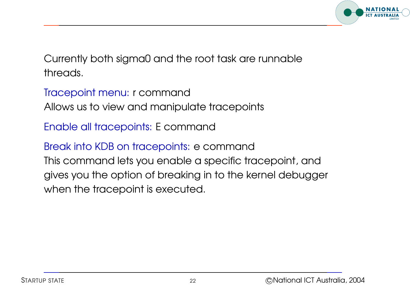

Currently both sigma0 and the root task are runnable threads.

Tracepoint menu: <sup>r</sup> command Allows us to view and manipulate tracepoints

Enable all tracepoints: E command

Break into KDB on tracepoints: <sup>e</sup> command This command lets you enable <sup>a</sup> specific tracepoint, and gives you the option of breaking in to the kernel debugger when the tracepoint is executed.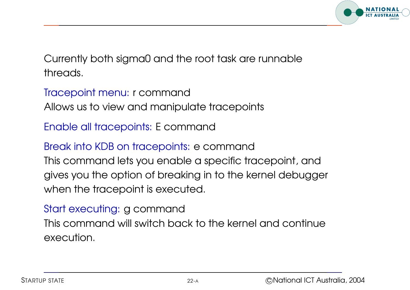

Currently both sigma0 and the root task are runnable threads.

Tracepoint menu: <sup>r</sup> command Allows us to view and manipulate tracepoints

Enable all tracepoints: E command

Break into KDB on tracepoints: <sup>e</sup> command

This command lets you enable <sup>a</sup> specific tracepoint, and gives you the option of breaking in to the kernel debugger when the tracepoint is executed.

Start executing: g command This command will switch back to the kernel and continue execution.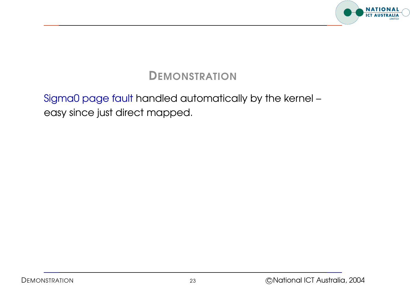

#### Sigma0 page fault handled automatically by the kernel – easy since just direct mapped.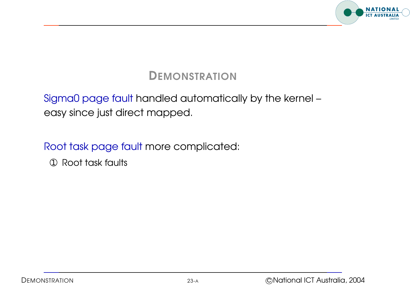

#### Sigma0 page fault handled automatically by the kernel – easy since just direct mapped.

Root task page fault more complicated:

➀ Root task faults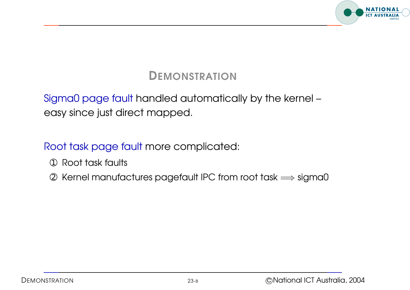

#### Sigma0 page fault handled automatically by the kernel – easy since just direct mapped.

- ➀ Root task faults
- <sup>➁</sup> Kernel manufactures pagefault IPC from root task <sup>=</sup><sup>⇒</sup> sigma0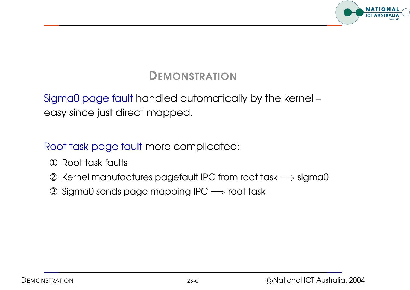

#### Sigma0 page fault handled automatically by the kernel – easy since just direct mapped.

- ➀ Root task faults
- <sup>➁</sup> Kernel manufactures pagefault IPC from root task <sup>=</sup><sup>⇒</sup> sigma0
- $\circled{3}$  Sigma0 sends page mapping IPC  $\Longrightarrow$  root task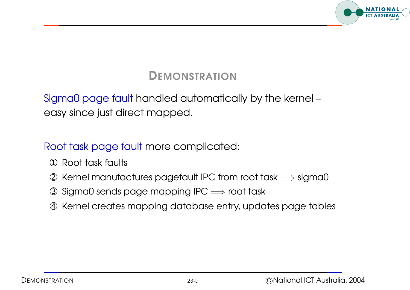

#### Sigma0 page fault handled automatically by the kernel – easy since just direct mapped.

- ➀ Root task faults
- <sup>➁</sup> Kernel manufactures pagefault IPC from root task <sup>=</sup><sup>⇒</sup> sigma0
- $\circled{3}$  Sigma0 sends page mapping IPC  $\Longrightarrow$  root task
- ➃ Kernel creates mapping database entry, updates page tables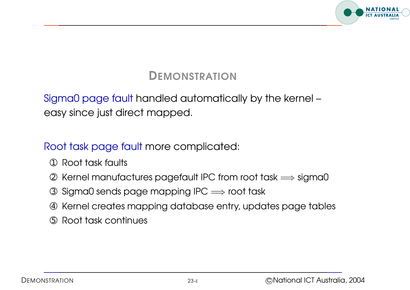

#### Sigma0 page fault handled automatically by the kernel – easy since just direct mapped.

- ➀ Root task faults
- <sup>➁</sup> Kernel manufactures pagefault IPC from root task <sup>=</sup><sup>⇒</sup> sigma0
- $\circled{3}$  Sigma0 sends page mapping IPC  $\Longrightarrow$  root task
- ➃ Kernel creates mapping database entry, updates page tables
- ➄ Root task continues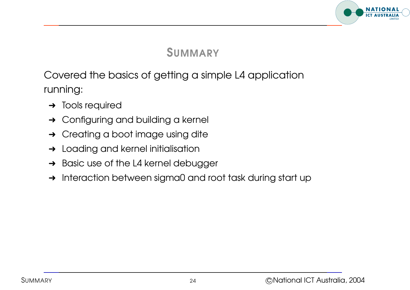

#### SUMMARY

Covered the basics of getting <sup>a</sup> simple L4 application running:

- **→** Tools required
- **→** Configuring and building a kernel
- **→** Creating a boot image using dite
- **→** Loading and kernel initialisation
- **→** Basic use of the L4 kernel debugger
- → Interaction between sigma0 and root task during start up